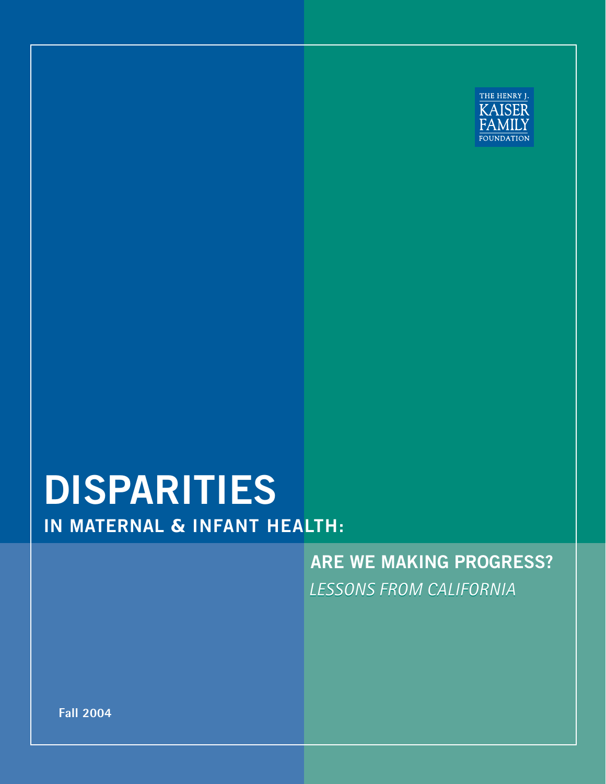

## **IN MATERNAL** *&* **INFANT HEALTH: DISPARITIES**

*LESSONS FROM CALIFORNIA*  **ARE WE MAKING PROGRESS?** 

**Fall 2004**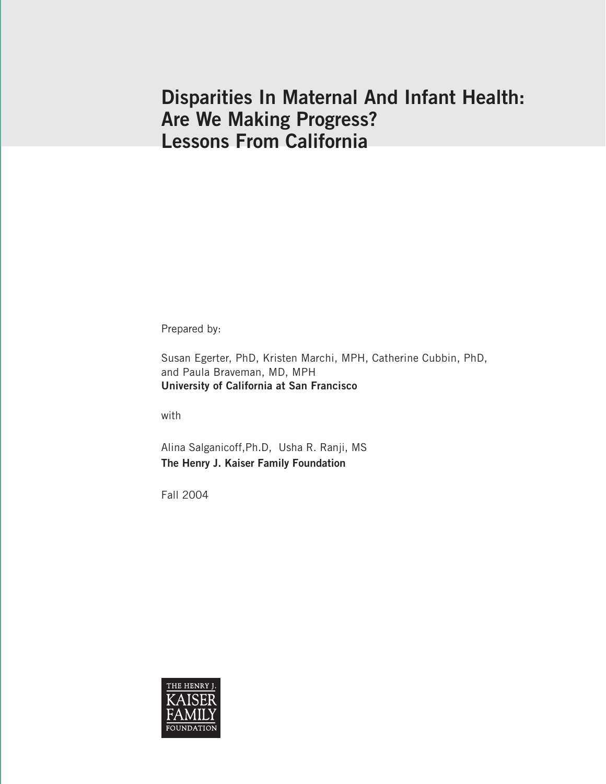## **Disparities In Maternal And Infant Health: Are We Making Progress? Lessons From California**

Prepared by:

Susan Egerter, PhD, Kristen Marchi, MPH, Catherine Cubbin, PhD, and Paula Braveman, MD, MPH **University of California at San Francisco**

with

Alina Salganicoff,Ph.D, Usha R. Ranji, MS **The Henry J. Kaiser Family Foundation**

Fall 2004

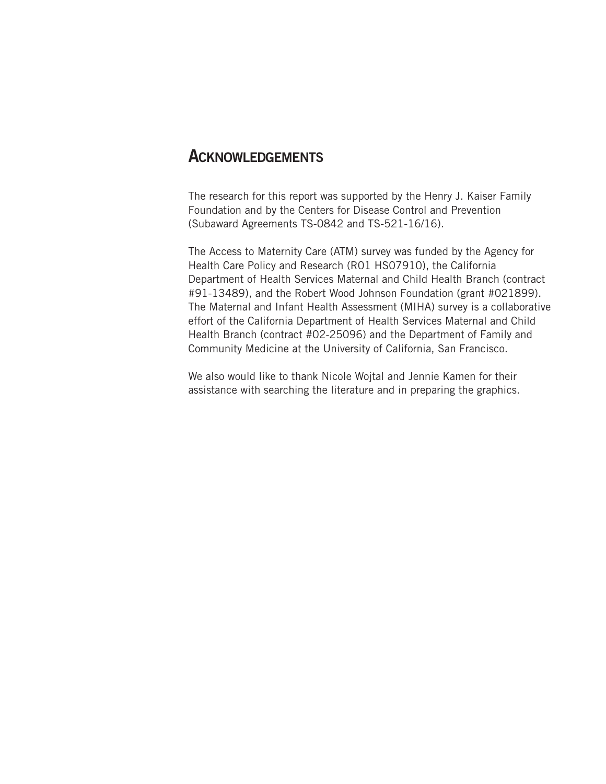#### **ACKNOWLEDGEMENTS**

The research for this report was supported by the Henry J. Kaiser Family Foundation and by the Centers for Disease Control and Prevention (Subaward Agreements TS-0842 and TS-521-16/16).

The Access to Maternity Care (ATM) survey was funded by the Agency for Health Care Policy and Research (R01 HS07910), the California Department of Health Services Maternal and Child Health Branch (contract #91-13489), and the Robert Wood Johnson Foundation (grant #021899). The Maternal and Infant Health Assessment (MIHA) survey is a collaborative effort of the California Department of Health Services Maternal and Child Health Branch (contract #02-25096) and the Department of Family and Community Medicine at the University of California, San Francisco.

We also would like to thank Nicole Wojtal and Jennie Kamen for their assistance with searching the literature and in preparing the graphics.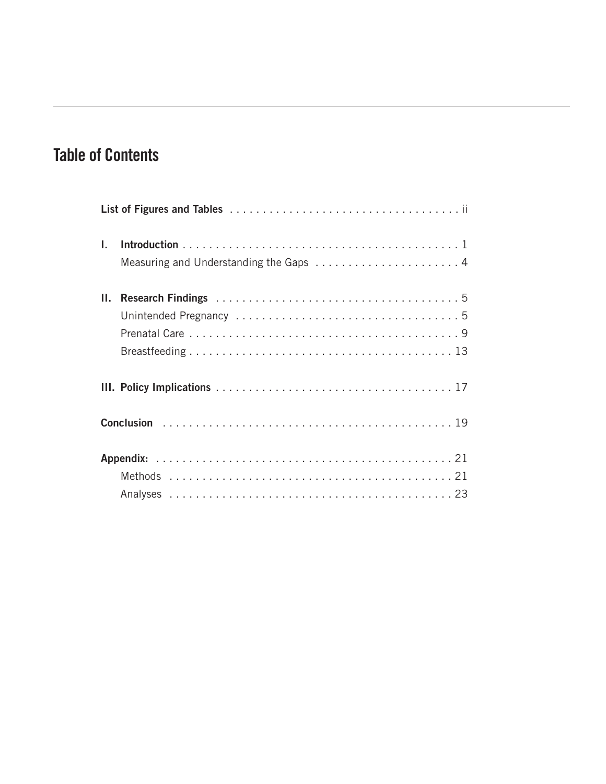## **Table of Contents**

| $\mathbf{L}$ |  |
|--------------|--|
|              |  |
| Ш.           |  |
|              |  |
|              |  |
|              |  |
|              |  |
|              |  |
|              |  |
|              |  |
|              |  |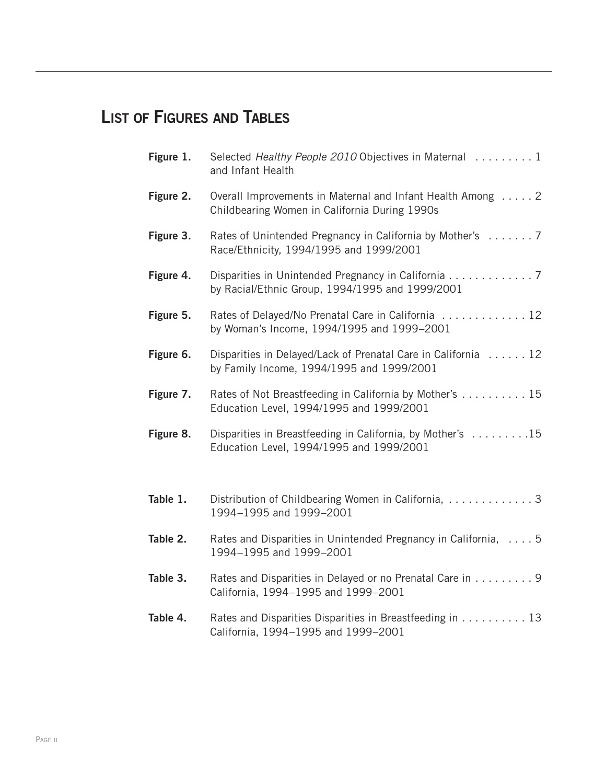## **LIST OF FIGURES AND TABLES**

| Figure 1. | Selected Healthy People 2010 Objectives in Maternal 1<br>and Infant Health                                  |
|-----------|-------------------------------------------------------------------------------------------------------------|
| Figure 2. | Overall Improvements in Maternal and Infant Health Among 2<br>Childbearing Women in California During 1990s |
| Figure 3. | Rates of Unintended Pregnancy in California by Mother's  7<br>Race/Ethnicity, 1994/1995 and 1999/2001       |
| Figure 4. | Disparities in Unintended Pregnancy in California 7<br>by Racial/Ethnic Group, 1994/1995 and 1999/2001      |
| Figure 5. | Rates of Delayed/No Prenatal Care in California 12<br>by Woman's Income, 1994/1995 and 1999-2001            |
| Figure 6. | Disparities in Delayed/Lack of Prenatal Care in California  12<br>by Family Income, 1994/1995 and 1999/2001 |
| Figure 7. | Rates of Not Breastfeeding in California by Mother's 15<br>Education Level, 1994/1995 and 1999/2001         |
| Figure 8. | Disparities in Breastfeeding in California, by Mother's 15<br>Education Level, 1994/1995 and 1999/2001      |
| Table 1.  | Distribution of Childbearing Women in California,  3<br>1994-1995 and 1999-2001                             |
| Table 2.  | Rates and Disparities in Unintended Pregnancy in California,  5<br>1994-1995 and 1999-2001                  |
| Table 3.  | Rates and Disparities in Delayed or no Prenatal Care in 9<br>California, 1994-1995 and 1999-2001            |
| Table 4.  | Rates and Disparities Disparities in Breastfeeding in 13<br>California, 1994-1995 and 1999-2001             |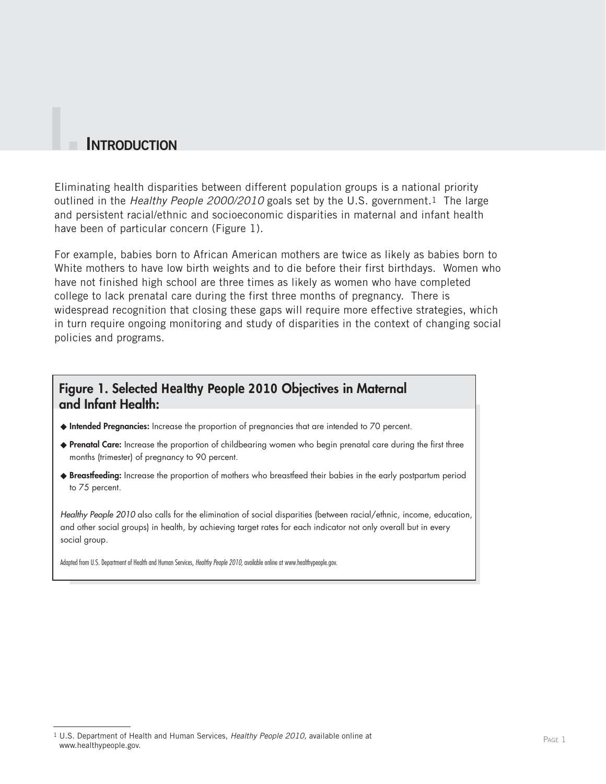#### **I. INTRODUCTION**

Eliminating health disparities between different population groups is a national priority outlined in the *Healthy People 2000/2010* goals set by the U.S. government.1 The large and persistent racial/ethnic and socioeconomic disparities in maternal and infant health have been of particular concern (Figure 1).

For example, babies born to African American mothers are twice as likely as babies born to White mothers to have low birth weights and to die before their first birthdays. Women who have not finished high school are three times as likely as women who have completed college to lack prenatal care during the first three months of pregnancy. There is widespread recognition that closing these gaps will require more effective strategies, which in turn require ongoing monitoring and study of disparities in the context of changing social policies and programs.

#### **Figure 1. Selected** *Healthy People 2010* **Objectives in Maternal and Infant Health:**

- ◆ **Intended Pregnancies:** Increase the proportion of pregnancies that are intended to 70 percent.
- ◆ **Prenatal Care:** Increase the proportion of childbearing women who begin prenatal care during the first three months (trimester) of pregnancy to 90 percent.
- ◆ **Breastfeeding:** Increase the proportion of mothers who breastfeed their babies in the early postpartum period to 75 percent.

*Healthy People 2010* also calls for the elimination of social disparities (between racial/ethnic, income, education, and other social groups) in health, by achieving target rates for each indicator not only overall but in every social group.

Adapted from U.S. Department of Health and Human Services, *Healthy People 2010,* available online at www.healthypeople.gov.

<sup>1</sup> U.S. Department of Health and Human Services, *Healthy People 2010,* available online at www.healthypeople.gov.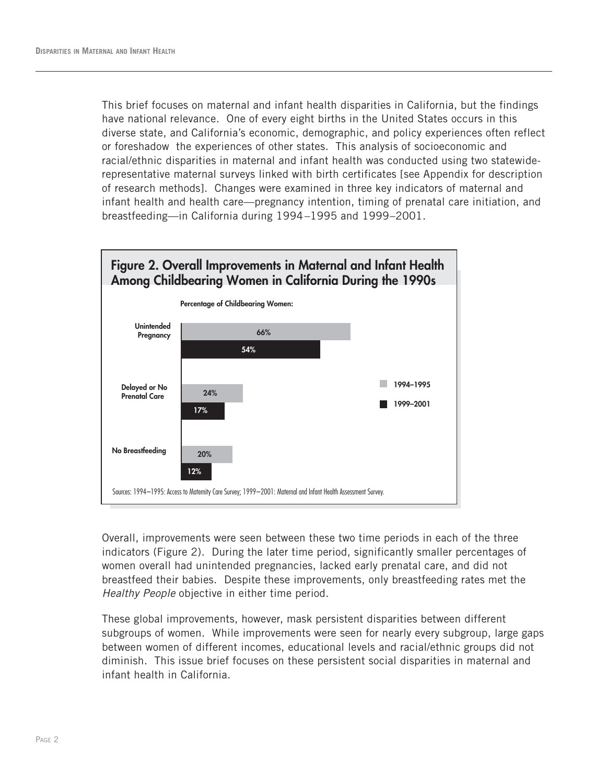This brief focuses on maternal and infant health disparities in California, but the findings have national relevance. One of every eight births in the United States occurs in this diverse state, and California's economic, demographic, and policy experiences often reflect or foreshadow the experiences of other states. This analysis of socioeconomic and racial/ethnic disparities in maternal and infant health was conducted using two statewiderepresentative maternal surveys linked with birth certificates [see Appendix for description of research methods]. Changes were examined in three key indicators of maternal and infant health and health care—pregnancy intention, timing of prenatal care initiation, and breastfeeding—in California during 1994–1995 and 1999–2001.



Overall, improvements were seen between these two time periods in each of the three indicators (Figure 2). During the later time period, significantly smaller percentages of women overall had unintended pregnancies, lacked early prenatal care, and did not breastfeed their babies. Despite these improvements, only breastfeeding rates met the *Healthy People* objective in either time period.

These global improvements, however, mask persistent disparities between different subgroups of women. While improvements were seen for nearly every subgroup, large gaps between women of different incomes, educational levels and racial/ethnic groups did not diminish. This issue brief focuses on these persistent social disparities in maternal and infant health in California.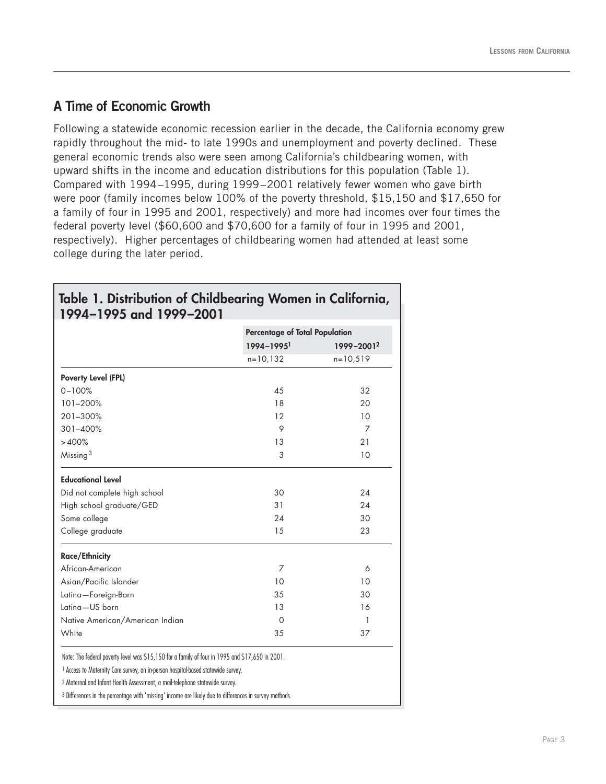#### **A Time of Economic Growth**

Following a statewide economic recession earlier in the decade, the California economy grew rapidly throughout the mid- to late 1990s and unemployment and poverty declined. These general economic trends also were seen among California's childbearing women, with upward shifts in the income and education distributions for this population (Table 1). Compared with 1994–1995, during 1999–2001 relatively fewer women who gave birth were poor (family incomes below 100% of the poverty threshold, \$15,150 and \$17,650 for a family of four in 1995 and 2001, respectively) and more had incomes over four times the federal poverty level (\$60,600 and \$70,600 for a family of four in 1995 and 2001, respectively). Higher percentages of childbearing women had attended at least some college during the later period.

|                                 | Percentage of Total Population |            |  |
|---------------------------------|--------------------------------|------------|--|
|                                 | $1994 - 1995$                  | 1999-20012 |  |
|                                 | $n = 10, 132$                  | $n=10,519$ |  |
| Poverty Level (FPL)             |                                |            |  |
| $0 - 100%$                      | 45                             | 32         |  |
| 101-200%                        | 18                             | 20         |  |
| 201-300%                        | 12                             | 10         |  |
| $301 - 400%$                    | 9                              | 7          |  |
| >400%                           | 13                             | 21         |  |
| Missing <sup>3</sup>            | 3                              | 10         |  |
| <b>Educational Level</b>        |                                |            |  |
| Did not complete high school    | 30                             | 24         |  |
| High school graduate/GED        | 31                             | 24         |  |
| Some college                    | 24                             | 30         |  |
| College graduate                | 15                             | 23         |  |
| <b>Race/Ethnicity</b>           |                                |            |  |
| African-American                | 7                              | 6          |  |
| Asian/Pacific Islander          | 10                             | 10         |  |
| Latina-Foreign-Born             | 35                             | 30         |  |
| Latina-US born                  | 13                             | 16         |  |
| Native American/American Indian | 0                              | 1          |  |
| White                           | 35                             | 37         |  |

## **Table 1. Distribution of Childbearing Women in California,**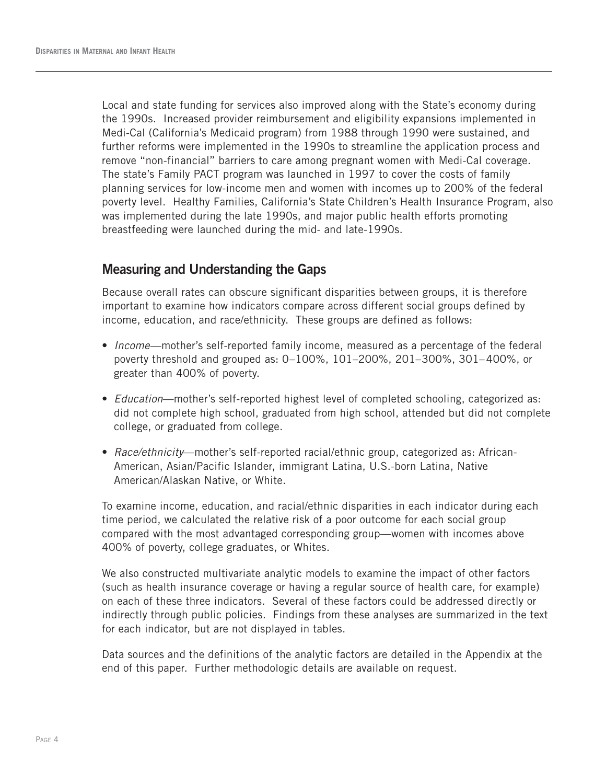Local and state funding for services also improved along with the State's economy during the 1990s. Increased provider reimbursement and eligibility expansions implemented in Medi-Cal (California's Medicaid program) from 1988 through 1990 were sustained, and further reforms were implemented in the 1990s to streamline the application process and remove "non-financial" barriers to care among pregnant women with Medi-Cal coverage. The state's Family PACT program was launched in 1997 to cover the costs of family planning services for low-income men and women with incomes up to 200% of the federal poverty level. Healthy Families, California's State Children's Health Insurance Program, also was implemented during the late 1990s, and major public health efforts promoting breastfeeding were launched during the mid- and late-1990s.

#### **Measuring and Understanding the Gaps**

Because overall rates can obscure significant disparities between groups, it is therefore important to examine how indicators compare across different social groups defined by income, education, and race/ethnicity. These groups are defined as follows:

- *Income*—mother's self-reported family income, measured as a percentage of the federal poverty threshold and grouped as: 0–100%, 101–200%, 201–300%, 301–400%, or greater than 400% of poverty.
- *Education*—mother's self-reported highest level of completed schooling, categorized as: did not complete high school, graduated from high school, attended but did not complete college, or graduated from college.
- *Race/ethnicity*—mother's self-reported racial/ethnic group, categorized as: African-American, Asian/Pacific Islander, immigrant Latina, U.S.-born Latina, Native American/Alaskan Native, or White.

To examine income, education, and racial/ethnic disparities in each indicator during each time period, we calculated the relative risk of a poor outcome for each social group compared with the most advantaged corresponding group—women with incomes above 400% of poverty, college graduates, or Whites.

We also constructed multivariate analytic models to examine the impact of other factors (such as health insurance coverage or having a regular source of health care, for example) on each of these three indicators. Several of these factors could be addressed directly or indirectly through public policies. Findings from these analyses are summarized in the text for each indicator, but are not displayed in tables.

Data sources and the definitions of the analytic factors are detailed in the Appendix at the end of this paper. Further methodologic details are available on request.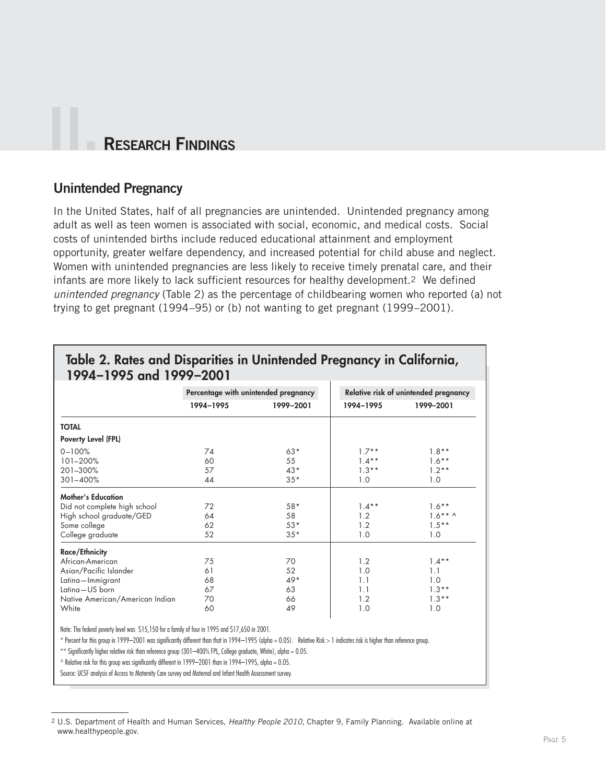## **II. RESEARCH FINDINGS**

#### **Unintended Pregnancy**

In the United States, half of all pregnancies are unintended. Unintended pregnancy among adult as well as teen women is associated with social, economic, and medical costs. Social costs of unintended births include reduced educational attainment and employment opportunity, greater welfare dependency, and increased potential for child abuse and neglect. Women with unintended pregnancies are less likely to receive timely prenatal care, and their infants are more likely to lack sufficient resources for healthy development.2 We defined *unintended pregnancy* (Table 2) as the percentage of childbearing women who reported (a) not trying to get pregnant (1994–95) or (b) not wanting to get pregnant (1999–2001).

|                                 | Percentage with unintended pregnancy |           | Relative risk of unintended pregnancy |            |
|---------------------------------|--------------------------------------|-----------|---------------------------------------|------------|
|                                 | 1994-1995                            | 1999-2001 | 1994-1995                             | 1999-2001  |
| <b>TOTAL</b>                    |                                      |           |                                       |            |
| Poverty Level (FPL)             |                                      |           |                                       |            |
| $0 - 100%$                      | 74                                   | $63*$     | $1.7**$                               | $1.8**$    |
| 101-200%                        | 60                                   | 55        | $1.4***$                              | $1.6***$   |
| 201-300%                        | 57                                   | $43*$     | $1.3**$                               | $1.2**$    |
| $301 - 400%$                    | 44                                   | $35*$     | 1.0                                   | 1.0        |
| <b>Mother's Education</b>       |                                      |           |                                       |            |
| Did not complete high school    | 72                                   | $58*$     | $1.4***$                              | $1.6***$   |
| High school graduate/GED        | 64                                   | 58        | 1.2                                   | $1.6***$ ^ |
| Some college                    | 62                                   | $53*$     | 1.2                                   | $1.5***$   |
| College graduate                | 52                                   | $35*$     | 1.0                                   | 1.0        |
| <b>Race/Ethnicity</b>           |                                      |           |                                       |            |
| African-American                | 75                                   | 70        | 1.2                                   | $1.4***$   |
| Asian/Pacific Islander          | 61                                   | 52        | 1.0                                   | 1.1        |
| Latina-Immigrant                | 68                                   | $49*$     | 1.1                                   | 1.0        |
| Latina-US born                  | 67                                   | 63        | 1.1                                   | $1.3***$   |
| Native American/American Indian | 70                                   | 66        | 1.2                                   | $1.3**$    |
| White                           | 60                                   | 49        | 1.0                                   | 1.0        |

#### **Table 2. Rates and Disparities in Unintended Pregnancy in California, 1994–1995 and 1999–2001**

Note: The federal poverty level was \$15,150 for a family of four in 1995 and \$17,650 in 2001.

\* Percent for this group in 1999–2001 was significantly different than that in 1994–1995 (alpha = 0.05). Relative Risk > 1 indicates risk is higher than reference group.

\*\* Significantly higher relative risk than reference group (301-400% FPL, College graduate, White), alpha = 0.05.

 $^{\circ}$  Relative risk for this group was significantly different in 1999–2001 than in 1994–1995, alpha = 0.05.

Source: UCSF analysis of Access to Maternity Care survey and Maternal and Infant Health Assessment survey.

<sup>2</sup> U.S. Department of Health and Human Services, *Healthy People 2010,* Chapter 9, Family Planning. Available online at www.healthypeople.gov.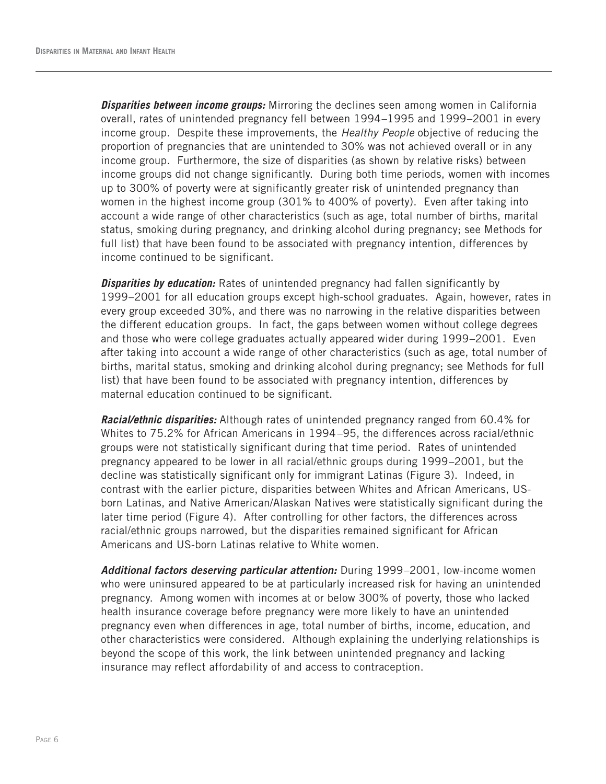*Disparities between income groups:* Mirroring the declines seen among women in California overall, rates of unintended pregnancy fell between 1994–1995 and 1999–2001 in every income group. Despite these improvements, the *Healthy People* objective of reducing the proportion of pregnancies that are unintended to 30% was not achieved overall or in any income group. Furthermore, the size of disparities (as shown by relative risks) between income groups did not change significantly. During both time periods, women with incomes up to 300% of poverty were at significantly greater risk of unintended pregnancy than women in the highest income group (301% to 400% of poverty). Even after taking into account a wide range of other characteristics (such as age, total number of births, marital status, smoking during pregnancy, and drinking alcohol during pregnancy; see Methods for full list) that have been found to be associated with pregnancy intention, differences by income continued to be significant.

**Disparities by education:** Rates of unintended pregnancy had fallen significantly by 1999–2001 for all education groups except high-school graduates. Again, however, rates in every group exceeded 30%, and there was no narrowing in the relative disparities between the different education groups. In fact, the gaps between women without college degrees and those who were college graduates actually appeared wider during 1999–2001. Even after taking into account a wide range of other characteristics (such as age, total number of births, marital status, smoking and drinking alcohol during pregnancy; see Methods for full list) that have been found to be associated with pregnancy intention, differences by maternal education continued to be significant.

*Racial/ethnic disparities:* Although rates of unintended pregnancy ranged from 60.4% for Whites to 75.2% for African Americans in 1994–95, the differences across racial/ethnic groups were not statistically significant during that time period. Rates of unintended pregnancy appeared to be lower in all racial/ethnic groups during 1999–2001, but the decline was statistically significant only for immigrant Latinas (Figure 3). Indeed, in contrast with the earlier picture, disparities between Whites and African Americans, USborn Latinas, and Native American/Alaskan Natives were statistically significant during the later time period (Figure 4). After controlling for other factors, the differences across racial/ethnic groups narrowed, but the disparities remained significant for African Americans and US-born Latinas relative to White women.

*Additional factors deserving particular attention:* During 1999–2001, low-income women who were uninsured appeared to be at particularly increased risk for having an unintended pregnancy. Among women with incomes at or below 300% of poverty, those who lacked health insurance coverage before pregnancy were more likely to have an unintended pregnancy even when differences in age, total number of births, income, education, and other characteristics were considered. Although explaining the underlying relationships is beyond the scope of this work, the link between unintended pregnancy and lacking insurance may reflect affordability of and access to contraception.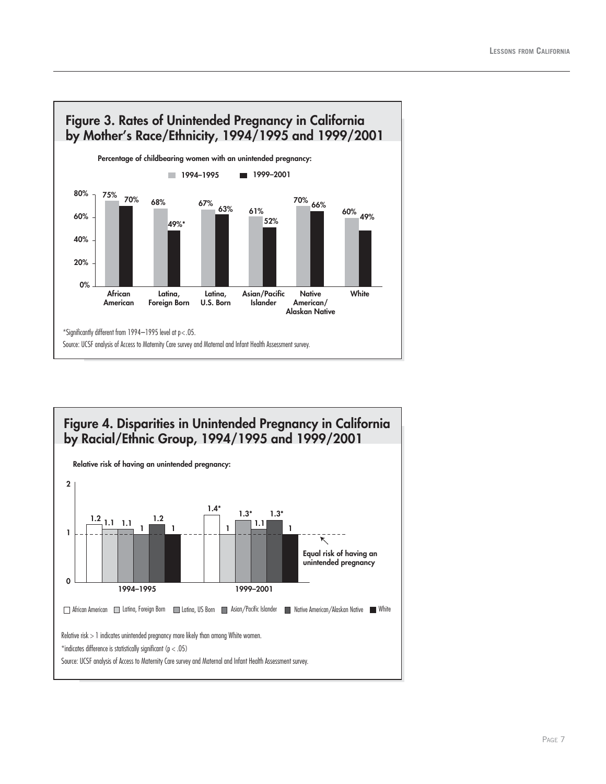

## **Figure 4. Disparities in Unintended Pregnancy in California by Racial/Ethnic Group, 1994/1995 and 1999/2001**

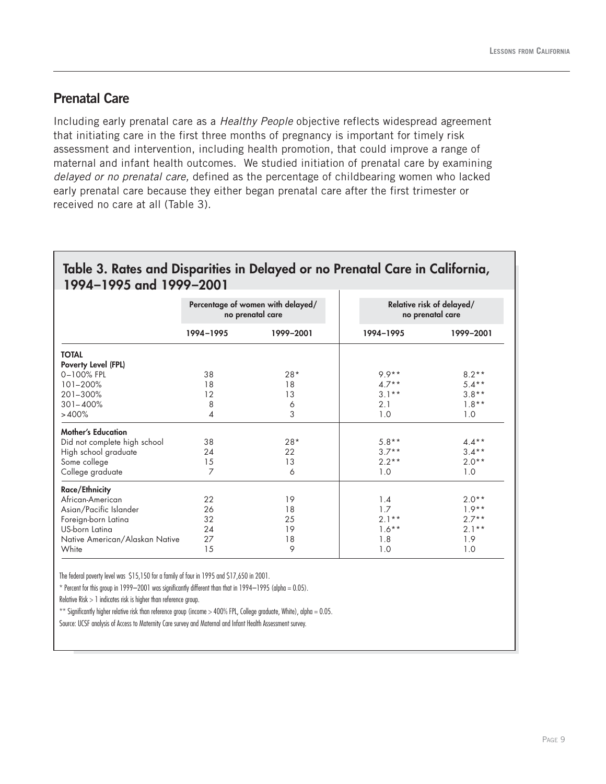#### **Prenatal Care**

Including early prenatal care as a *Healthy People* objective reflects widespread agreement that initiating care in the first three months of pregnancy is important for timely risk assessment and intervention, including health promotion, that could improve a range of maternal and infant health outcomes. We studied initiation of prenatal care by examining *delayed or no prenatal care,* defined as the percentage of childbearing women who lacked early prenatal care because they either began prenatal care after the first trimester or received no care at all (Table 3).

#### **Table 3. Rates and Disparities in Delayed or no Prenatal Care in California, 1994–1995 and 1999–2001**

|                                | Percentage of women with delayed/<br>no prenatal care |           | Relative risk of delayed/<br>no prenatal care |           |
|--------------------------------|-------------------------------------------------------|-----------|-----------------------------------------------|-----------|
|                                | 1994-1995                                             | 1999-2001 | 1994-1995                                     | 1999-2001 |
| <b>TOTAL</b>                   |                                                       |           |                                               |           |
| Poverty Level (FPL)            |                                                       |           |                                               |           |
| 0-100% FPL                     | 38                                                    | $28*$     | $9.9**$                                       | $8.2**$   |
| 101-200%                       | 18                                                    | 18        | $4.7**$                                       | $5.4**$   |
| 201-300%                       | 12                                                    | 13        | $3.1**$                                       | $3.8**$   |
| $301 - 400%$                   | 8                                                     | 6         | 2.1                                           | $1.8**$   |
| >400%                          | 4                                                     | 3         | 1.0                                           | 1.0       |
| <b>Mother's Education</b>      |                                                       |           |                                               |           |
| Did not complete high school   | 38                                                    | $28*$     | $5.8**$                                       | $4.4**$   |
| High school graduate           | 24                                                    | 22        | $3.7**$                                       | $3.4***$  |
| Some college                   | 15                                                    | 13        | $2.2**$                                       | $2.0**$   |
| College graduate               | 7                                                     | 6         | 1.0                                           | 1.0       |
| <b>Race/Ethnicity</b>          |                                                       |           |                                               |           |
| African-American               | 22                                                    | 19        | 1.4                                           | $2.0**$   |
| Asian/Pacific Islander         | 26                                                    | 18        | 1.7                                           | $1.9**$   |
| Foreign-born Latina            | 32                                                    | 25        | $2.1**$                                       | $2.7**$   |
| US-born Latina                 | 24                                                    | 19        | $1.6***$                                      | $2.1**$   |
| Native American/Alaskan Native | 27                                                    | 18        | 1.8                                           | 1.9       |
| White                          | 15                                                    | 9         | 1.0                                           | 1.0       |

The federal poverty level was \$15,150 for a family of four in 1995 and \$17,650 in 2001.

 $*$  Percent for this group in 1999–2001 was significantly different than that in 1994–1995 (alpha = 0.05).

Relative Risk > 1 indicates risk is higher than reference group.

\*\* Significantly higher relative risk than reference group (income  $>$  400% FPL, College graduate, White), alpha = 0.05.

Source: UCSF analysis of Access to Maternity Care survey and Maternal and Infant Health Assessment survey.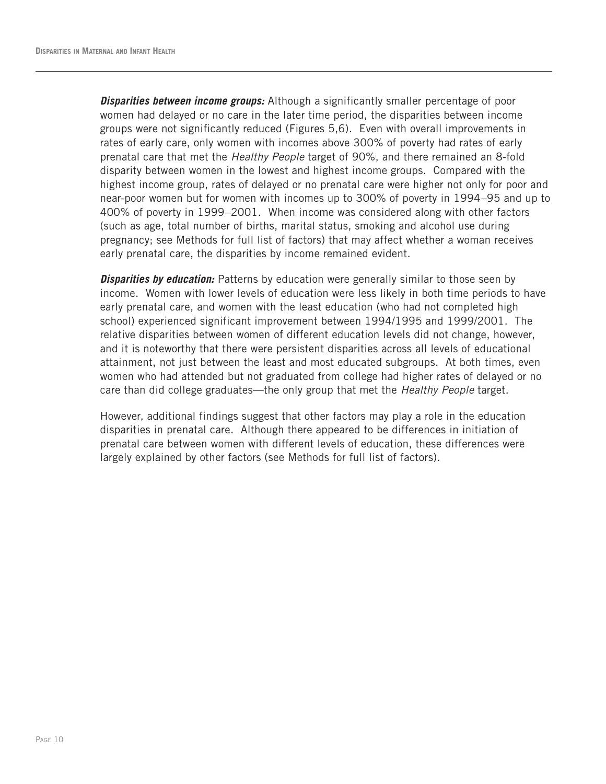*Disparities between income groups:* Although a significantly smaller percentage of poor women had delayed or no care in the later time period, the disparities between income groups were not significantly reduced (Figures 5,6). Even with overall improvements in rates of early care, only women with incomes above 300% of poverty had rates of early prenatal care that met the *Healthy People* target of 90%, and there remained an 8-fold disparity between women in the lowest and highest income groups. Compared with the highest income group, rates of delayed or no prenatal care were higher not only for poor and near-poor women but for women with incomes up to 300% of poverty in 1994–95 and up to 400% of poverty in 1999–2001. When income was considered along with other factors (such as age, total number of births, marital status, smoking and alcohol use during pregnancy; see Methods for full list of factors) that may affect whether a woman receives early prenatal care, the disparities by income remained evident.

**Disparities by education:** Patterns by education were generally similar to those seen by income. Women with lower levels of education were less likely in both time periods to have early prenatal care, and women with the least education (who had not completed high school) experienced significant improvement between 1994/1995 and 1999/2001. The relative disparities between women of different education levels did not change, however, and it is noteworthy that there were persistent disparities across all levels of educational attainment, not just between the least and most educated subgroups. At both times, even women who had attended but not graduated from college had higher rates of delayed or no care than did college graduates—the only group that met the *Healthy People* target.

However, additional findings suggest that other factors may play a role in the education disparities in prenatal care. Although there appeared to be differences in initiation of prenatal care between women with different levels of education, these differences were largely explained by other factors (see Methods for full list of factors).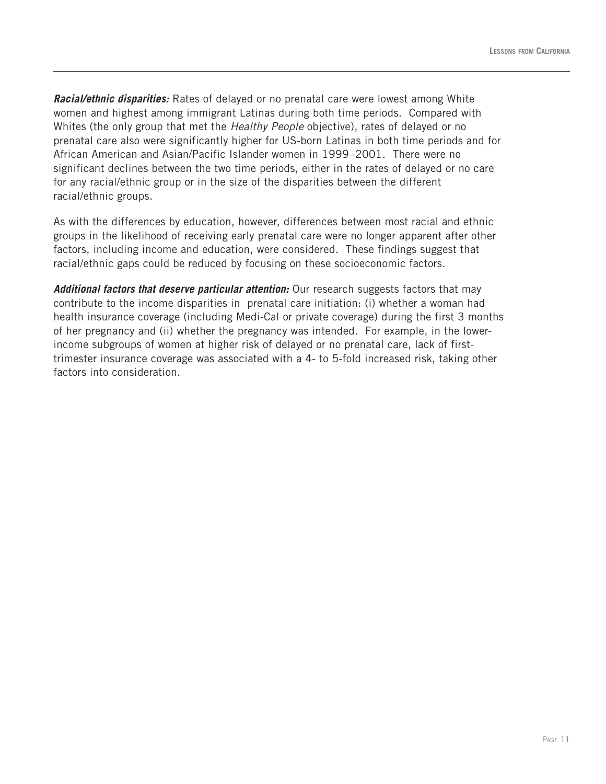*Racial/ethnic disparities:* Rates of delayed or no prenatal care were lowest among White women and highest among immigrant Latinas during both time periods. Compared with Whites (the only group that met the *Healthy People* objective), rates of delayed or no prenatal care also were significantly higher for US-born Latinas in both time periods and for African American and Asian/Pacific Islander women in 1999–2001. There were no significant declines between the two time periods, either in the rates of delayed or no care for any racial/ethnic group or in the size of the disparities between the different racial/ethnic groups.

As with the differences by education, however, differences between most racial and ethnic groups in the likelihood of receiving early prenatal care were no longer apparent after other factors, including income and education, were considered. These findings suggest that racial/ethnic gaps could be reduced by focusing on these socioeconomic factors.

*Additional factors that deserve particular attention:* Our research suggests factors that may contribute to the income disparities in prenatal care initiation: (i) whether a woman had health insurance coverage (including Medi-Cal or private coverage) during the first 3 months of her pregnancy and (ii) whether the pregnancy was intended. For example, in the lowerincome subgroups of women at higher risk of delayed or no prenatal care, lack of firsttrimester insurance coverage was associated with a 4- to 5-fold increased risk, taking other factors into consideration.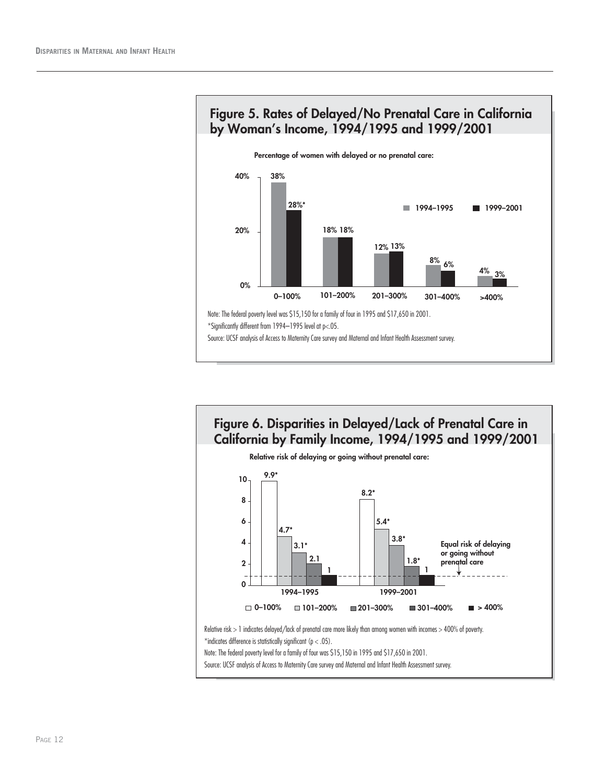



**Figure 6. Disparities in Delayed/Lack of Prenatal Care in California by Family Income, 1994/1995 and 1999/2001 Relative risk of delaying or going without prenatal care: 9.9\* 8.2\* 1 1 5.4\* 4.7\* 3.8\* 3.1\* 2.1 1.8\* 0 2 4 6 8 10 1994–1995 1999–2001 0–100% 101–200% 201–300% 301–400% > 400% Equal risk of delaying or going without prenatal care** Relative risk > 1 indicates delayed/lack of prenatal care more likely than among women with incomes > 400% of poverty. \*indicates difference is statistically significant ( $p < .05$ ). Note: The federal poverty level for a family of four was \$15,150 in 1995 and \$17,650 in 2001.

Source: UCSF analysis of Access to Maternity Care survey and Maternal and Infant Health Assessment survey.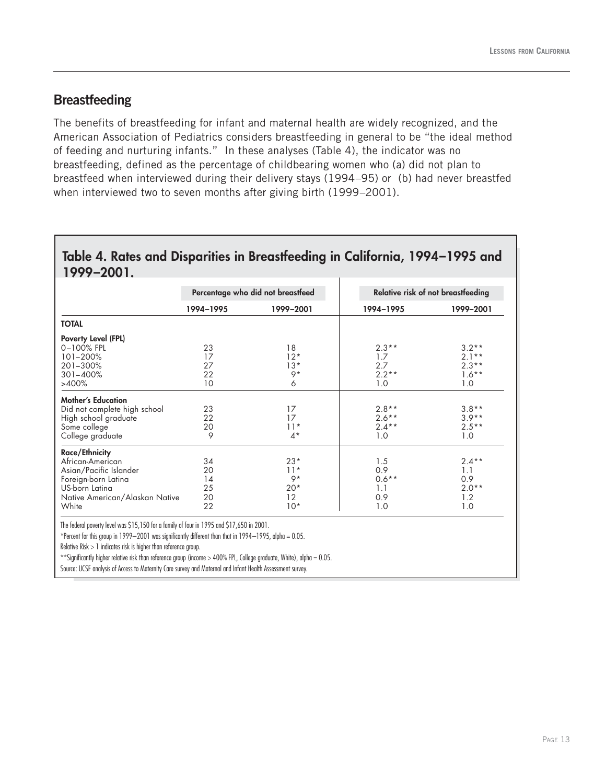#### **Breastfeeding**

The benefits of breastfeeding for infant and maternal health are widely recognized, and the American Association of Pediatrics considers breastfeeding in general to be "the ideal method of feeding and nurturing infants." In these analyses (Table 4), the indicator was no breastfeeding, defined as the percentage of childbearing women who (a) did not plan to breastfeed when interviewed during their delivery stays (1994–95) or (b) had never breastfed when interviewed two to seven months after giving birth (1999–2001).

#### **Table 4. Rates and Disparities in Breastfeeding in California, 1994–1995 and 1999–2001.**

|                                | Percentage who did not breastfeed |           | Relative risk of not breastfeeding |           |
|--------------------------------|-----------------------------------|-----------|------------------------------------|-----------|
|                                | 1994-1995                         | 1999-2001 | 1994-1995                          | 1999-2001 |
| <b>TOTAL</b>                   |                                   |           |                                    |           |
| Poverty Level (FPL)            |                                   |           |                                    |           |
| $0 - 100%$ FPL                 | 23                                | 18        | $2.3**$                            | $3.2**$   |
| 101-200%                       | 17                                | $12*$     | 1.7                                | $2.1**$   |
| 201-300%                       | 27                                | $13*$     | 2.7                                | $2.3**$   |
| $301 - 400%$                   | 22                                | $9*$      | $2.2**$                            | $1.6***$  |
| >400%                          | 10                                | 6         | 1.0                                | 1.0       |
| <b>Mother's Education</b>      |                                   |           |                                    |           |
| Did not complete high school   | 23                                | 17        | $2.8**$                            | $3.8**$   |
| High school graduate           | 22                                | 17        | $2.6***$                           | $3.9**$   |
| Some college                   | 20                                | $11*$     | $2.4***$                           | $2.5***$  |
| College graduate               | 9                                 | $4*$      | 1.0                                | 1.0       |
| <b>Race/Ethnicity</b>          |                                   |           |                                    |           |
| African-American               | 34                                | $23*$     | 1.5                                | $2.4***$  |
| Asian/Pacific Islander         | 20                                | $11*$     | 0.9                                | 1.1       |
| Foreign-born Latina            | 14                                | 9*        | $0.6***$                           | 0.9       |
| US-born Latina                 | 25                                | $20*$     | 1.1                                | $2.0**$   |
| Native American/Alaskan Native | 20                                | 12        | 0.9                                | 1.2       |
| White                          | 22                                | $10*$     | 1.0                                | 1.0       |

\*Percent for this group in 1999–2001 was significantly different than that in 1994–1995, alpha =  $0.05$ .

Relative Risk > 1 indicates risk is higher than reference group.

\*\*Significantly higher relative risk than reference group (income > 400% FPL, College graduate, White), alpha = 0.05.

Source: UCSF analysis of Access to Maternity Care survey and Maternal and Infant Health Assessment survey.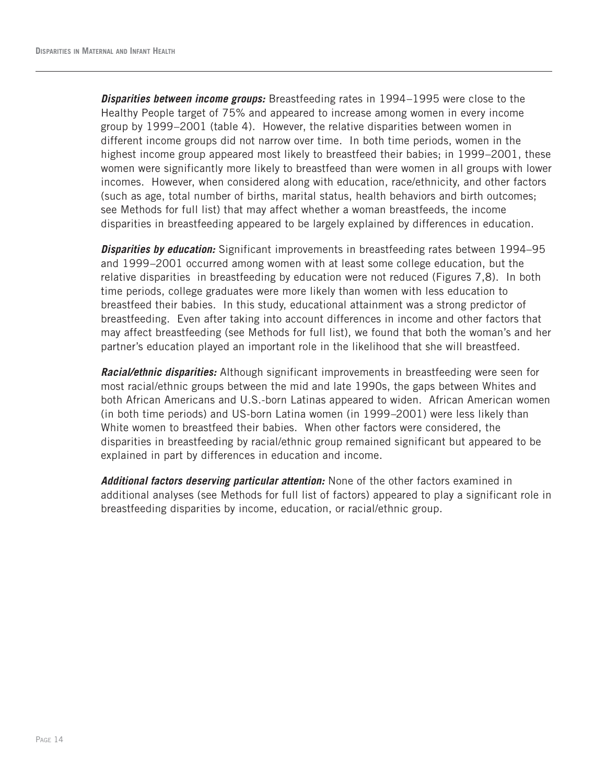*Disparities between income groups:* Breastfeeding rates in 1994–1995 were close to the Healthy People target of 75% and appeared to increase among women in every income group by 1999–2001 (table 4). However, the relative disparities between women in different income groups did not narrow over time. In both time periods, women in the highest income group appeared most likely to breastfeed their babies; in 1999–2001, these women were significantly more likely to breastfeed than were women in all groups with lower incomes. However, when considered along with education, race/ethnicity, and other factors (such as age, total number of births, marital status, health behaviors and birth outcomes; see Methods for full list) that may affect whether a woman breastfeeds, the income disparities in breastfeeding appeared to be largely explained by differences in education.

*Disparities by education:* Significant improvements in breastfeeding rates between 1994–95 and 1999–2001 occurred among women with at least some college education, but the relative disparities in breastfeeding by education were not reduced (Figures 7,8). In both time periods, college graduates were more likely than women with less education to breastfeed their babies. In this study, educational attainment was a strong predictor of breastfeeding. Even after taking into account differences in income and other factors that may affect breastfeeding (see Methods for full list), we found that both the woman's and her partner's education played an important role in the likelihood that she will breastfeed.

*Racial/ethnic disparities:* Although significant improvements in breastfeeding were seen for most racial/ethnic groups between the mid and late 1990s, the gaps between Whites and both African Americans and U.S.-born Latinas appeared to widen. African American women (in both time periods) and US-born Latina women (in 1999–2001) were less likely than White women to breastfeed their babies. When other factors were considered, the disparities in breastfeeding by racial/ethnic group remained significant but appeared to be explained in part by differences in education and income.

*Additional factors deserving particular attention:* None of the other factors examined in additional analyses (see Methods for full list of factors) appeared to play a significant role in breastfeeding disparities by income, education, or racial/ethnic group.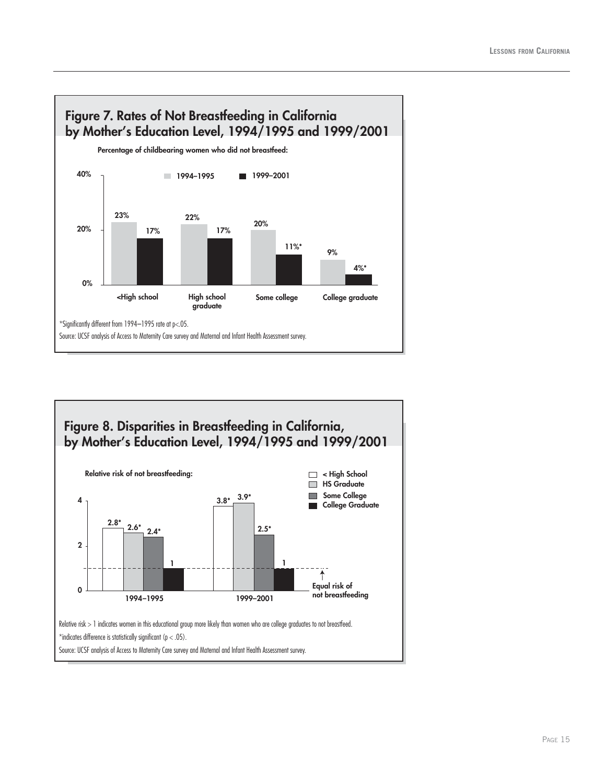

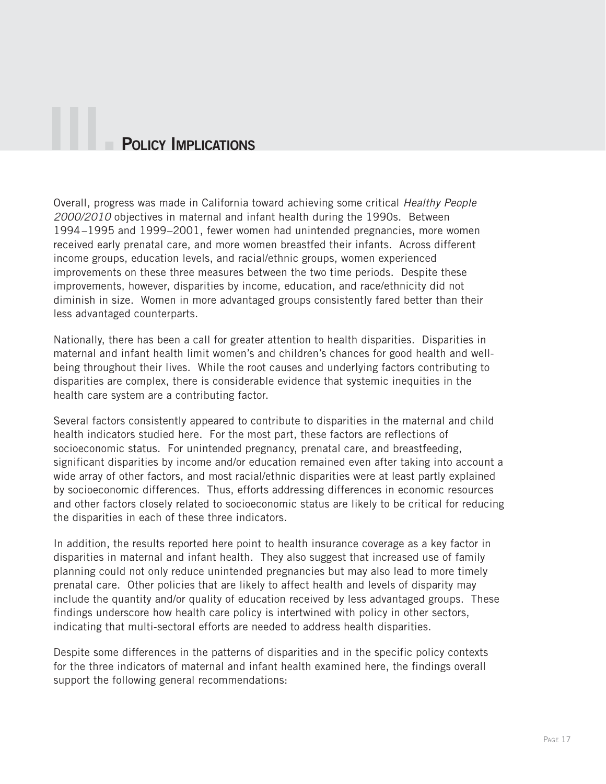# **POLICY IMPLICATIONS**

Overall, progress was made in California toward achieving some critical *Healthy People 2000/2010* objectives in maternal and infant health during the 1990s. Between 1994–1995 and 1999–2001, fewer women had unintended pregnancies, more women received early prenatal care, and more women breastfed their infants. Across different income groups, education levels, and racial/ethnic groups, women experienced improvements on these three measures between the two time periods. Despite these improvements, however, disparities by income, education, and race/ethnicity did not diminish in size. Women in more advantaged groups consistently fared better than their less advantaged counterparts.

Nationally, there has been a call for greater attention to health disparities. Disparities in maternal and infant health limit women's and children's chances for good health and wellbeing throughout their lives. While the root causes and underlying factors contributing to disparities are complex, there is considerable evidence that systemic inequities in the health care system are a contributing factor.

Several factors consistently appeared to contribute to disparities in the maternal and child health indicators studied here. For the most part, these factors are reflections of socioeconomic status. For unintended pregnancy, prenatal care, and breastfeeding, significant disparities by income and/or education remained even after taking into account a wide array of other factors, and most racial/ethnic disparities were at least partly explained by socioeconomic differences. Thus, efforts addressing differences in economic resources and other factors closely related to socioeconomic status are likely to be critical for reducing the disparities in each of these three indicators.

In addition, the results reported here point to health insurance coverage as a key factor in disparities in maternal and infant health. They also suggest that increased use of family planning could not only reduce unintended pregnancies but may also lead to more timely prenatal care. Other policies that are likely to affect health and levels of disparity may include the quantity and/or quality of education received by less advantaged groups. These findings underscore how health care policy is intertwined with policy in other sectors, indicating that multi-sectoral efforts are needed to address health disparities.

Despite some differences in the patterns of disparities and in the specific policy contexts for the three indicators of maternal and infant health examined here, the findings overall support the following general recommendations: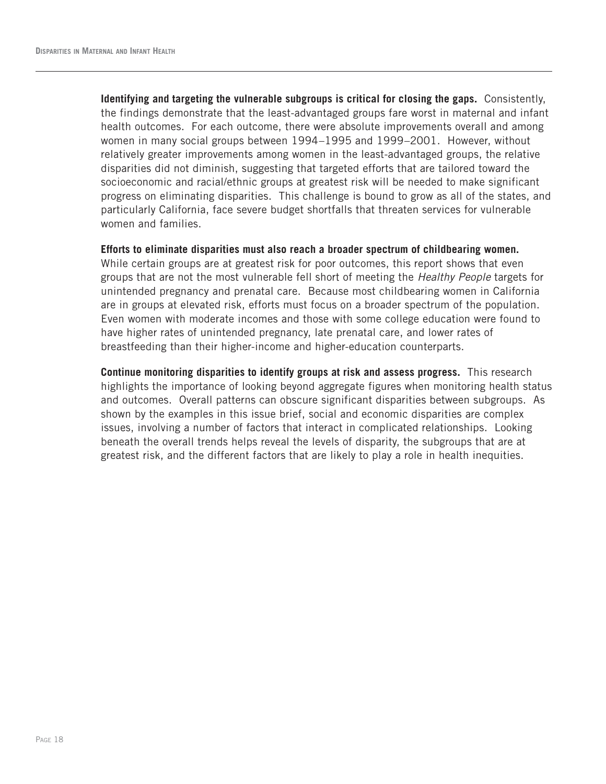**Identifying and targeting the vulnerable subgroups is critical for closing the gaps.** Consistently, the findings demonstrate that the least-advantaged groups fare worst in maternal and infant health outcomes. For each outcome, there were absolute improvements overall and among women in many social groups between 1994–1995 and 1999–2001. However, without relatively greater improvements among women in the least-advantaged groups, the relative disparities did not diminish, suggesting that targeted efforts that are tailored toward the socioeconomic and racial/ethnic groups at greatest risk will be needed to make significant progress on eliminating disparities. This challenge is bound to grow as all of the states, and particularly California, face severe budget shortfalls that threaten services for vulnerable women and families.

#### **Efforts to eliminate disparities must also reach a broader spectrum of childbearing women.**

While certain groups are at greatest risk for poor outcomes, this report shows that even groups that are not the most vulnerable fell short of meeting the *Healthy People* targets for unintended pregnancy and prenatal care. Because most childbearing women in California are in groups at elevated risk, efforts must focus on a broader spectrum of the population. Even women with moderate incomes and those with some college education were found to have higher rates of unintended pregnancy, late prenatal care, and lower rates of breastfeeding than their higher-income and higher-education counterparts.

**Continue monitoring disparities to identify groups at risk and assess progress.** This research highlights the importance of looking beyond aggregate figures when monitoring health status and outcomes. Overall patterns can obscure significant disparities between subgroups. As shown by the examples in this issue brief, social and economic disparities are complex issues, involving a number of factors that interact in complicated relationships. Looking beneath the overall trends helps reveal the levels of disparity, the subgroups that are at greatest risk, and the different factors that are likely to play a role in health inequities.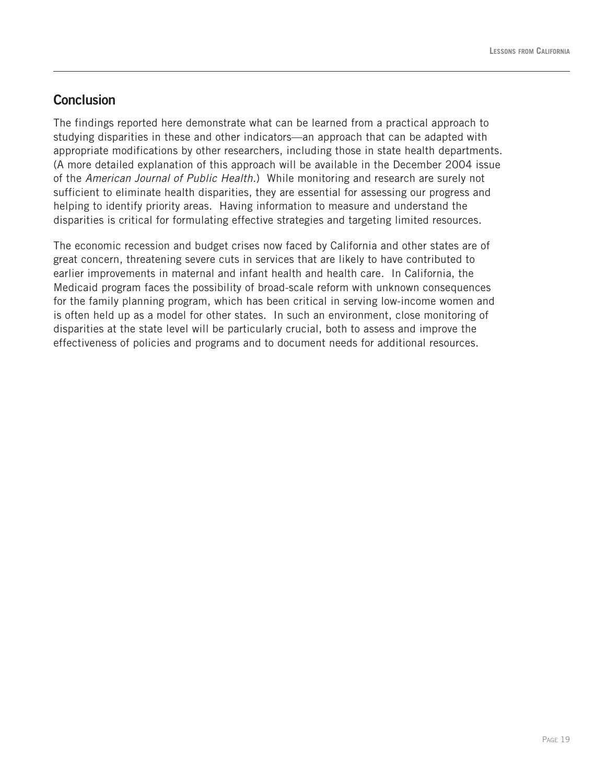#### **Conclusion**

The findings reported here demonstrate what can be learned from a practical approach to studying disparities in these and other indicators—an approach that can be adapted with appropriate modifications by other researchers, including those in state health departments. (A more detailed explanation of this approach will be available in the December 2004 issue of the *American Journal of Public Health.*) While monitoring and research are surely not sufficient to eliminate health disparities, they are essential for assessing our progress and helping to identify priority areas. Having information to measure and understand the disparities is critical for formulating effective strategies and targeting limited resources.

The economic recession and budget crises now faced by California and other states are of great concern, threatening severe cuts in services that are likely to have contributed to earlier improvements in maternal and infant health and health care. In California, the Medicaid program faces the possibility of broad-scale reform with unknown consequences for the family planning program, which has been critical in serving low-income women and is often held up as a model for other states. In such an environment, close monitoring of disparities at the state level will be particularly crucial, both to assess and improve the effectiveness of policies and programs and to document needs for additional resources.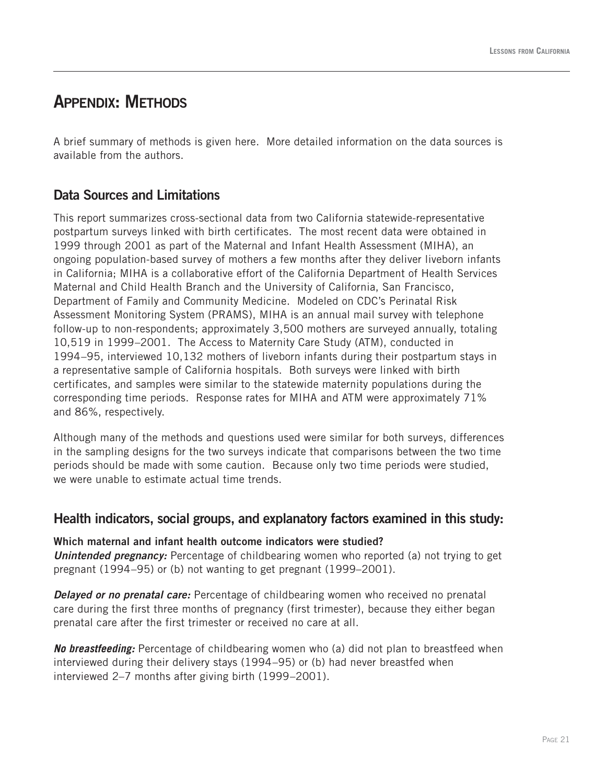### **APPENDIX: METHODS**

A brief summary of methods is given here. More detailed information on the data sources is available from the authors.

#### **Data Sources and Limitations**

This report summarizes cross-sectional data from two California statewide-representative postpartum surveys linked with birth certificates. The most recent data were obtained in 1999 through 2001 as part of the Maternal and Infant Health Assessment (MIHA), an ongoing population-based survey of mothers a few months after they deliver liveborn infants in California; MIHA is a collaborative effort of the California Department of Health Services Maternal and Child Health Branch and the University of California, San Francisco, Department of Family and Community Medicine. Modeled on CDC's Perinatal Risk Assessment Monitoring System (PRAMS), MIHA is an annual mail survey with telephone follow-up to non-respondents; approximately 3,500 mothers are surveyed annually, totaling 10,519 in 1999–2001. The Access to Maternity Care Study (ATM), conducted in 1994–95, interviewed 10,132 mothers of liveborn infants during their postpartum stays in a representative sample of California hospitals. Both surveys were linked with birth certificates, and samples were similar to the statewide maternity populations during the corresponding time periods. Response rates for MIHA and ATM were approximately 71% and 86%, respectively.

Although many of the methods and questions used were similar for both surveys, differences in the sampling designs for the two surveys indicate that comparisons between the two time periods should be made with some caution. Because only two time periods were studied, we were unable to estimate actual time trends.

#### **Health indicators, social groups, and explanatory factors examined in this study:**

**Which maternal and infant health outcome indicators were studied? Unintended pregnancy:** Percentage of childbearing women who reported (a) not trying to get pregnant (1994–95) or (b) not wanting to get pregnant (1999–2001).

**Delayed or no prenatal care:** Percentage of childbearing women who received no prenatal care during the first three months of pregnancy (first trimester), because they either began prenatal care after the first trimester or received no care at all.

*No breastfeeding:* Percentage of childbearing women who (a) did not plan to breastfeed when interviewed during their delivery stays (1994–95) or (b) had never breastfed when interviewed 2–7 months after giving birth (1999–2001).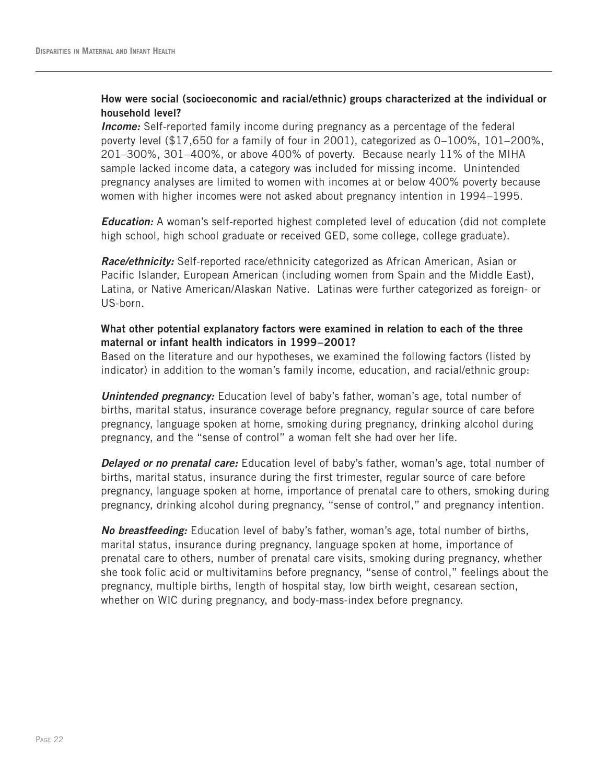#### **How were social (socioeconomic and racial/ethnic) groups characterized at the individual or household level?**

*Income:* Self-reported family income during pregnancy as a percentage of the federal poverty level (\$17,650 for a family of four in 2001), categorized as 0–100%, 101–200%, 201–300%, 301–400%, or above 400% of poverty. Because nearly 11% of the MIHA sample lacked income data, a category was included for missing income. Unintended pregnancy analyses are limited to women with incomes at or below 400% poverty because women with higher incomes were not asked about pregnancy intention in 1994–1995.

*Education:* A woman's self-reported highest completed level of education (did not complete high school, high school graduate or received GED, some college, college graduate).

*Race/ethnicity:* Self-reported race/ethnicity categorized as African American, Asian or Pacific Islander, European American (including women from Spain and the Middle East), Latina, or Native American/Alaskan Native. Latinas were further categorized as foreign- or US-born.

#### **What other potential explanatory factors were examined in relation to each of the three maternal or infant health indicators in 1999–2001?**

Based on the literature and our hypotheses, we examined the following factors (listed by indicator) in addition to the woman's family income, education, and racial/ethnic group:

**Unintended pregnancy:** Education level of baby's father, woman's age, total number of births, marital status, insurance coverage before pregnancy, regular source of care before pregnancy, language spoken at home, smoking during pregnancy, drinking alcohol during pregnancy, and the "sense of control" a woman felt she had over her life.

*Delayed or no prenatal care:* Education level of baby's father, woman's age, total number of births, marital status, insurance during the first trimester, regular source of care before pregnancy, language spoken at home, importance of prenatal care to others, smoking during pregnancy, drinking alcohol during pregnancy, "sense of control," and pregnancy intention.

*No breastfeeding:* Education level of baby's father, woman's age, total number of births, marital status, insurance during pregnancy, language spoken at home, importance of prenatal care to others, number of prenatal care visits, smoking during pregnancy, whether she took folic acid or multivitamins before pregnancy, "sense of control," feelings about the pregnancy, multiple births, length of hospital stay, low birth weight, cesarean section, whether on WIC during pregnancy, and body-mass-index before pregnancy.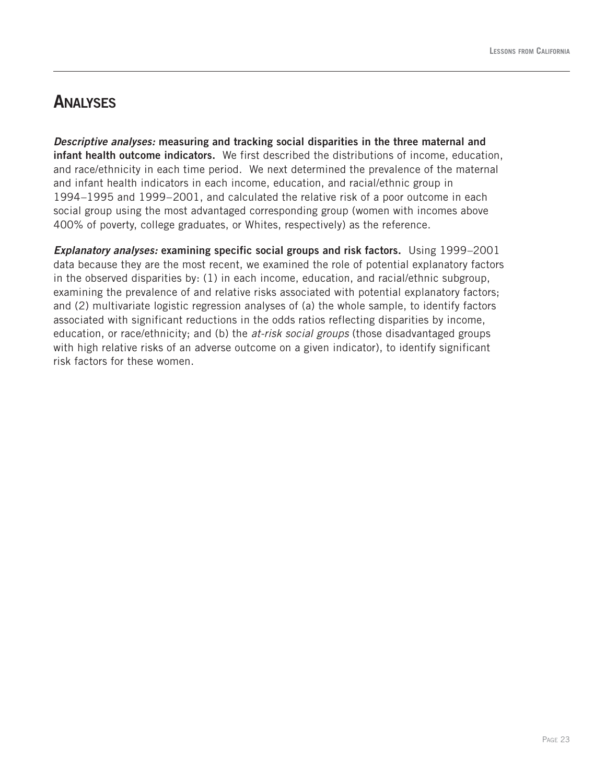### **ANALYSES**

*Descriptive analyses:* **measuring and tracking social disparities in the three maternal and infant health outcome indicators.** We first described the distributions of income, education, and race/ethnicity in each time period. We next determined the prevalence of the maternal and infant health indicators in each income, education, and racial/ethnic group in 1994–1995 and 1999–2001, and calculated the relative risk of a poor outcome in each social group using the most advantaged corresponding group (women with incomes above 400% of poverty, college graduates, or Whites, respectively) as the reference.

*Explanatory analyses:* **examining specific social groups and risk factors.** Using 1999–2001 data because they are the most recent, we examined the role of potential explanatory factors in the observed disparities by: (1) in each income, education, and racial/ethnic subgroup, examining the prevalence of and relative risks associated with potential explanatory factors; and (2) multivariate logistic regression analyses of (a) the whole sample, to identify factors associated with significant reductions in the odds ratios reflecting disparities by income, education, or race/ethnicity; and (b) the *at-risk social groups* (those disadvantaged groups with high relative risks of an adverse outcome on a given indicator), to identify significant risk factors for these women.